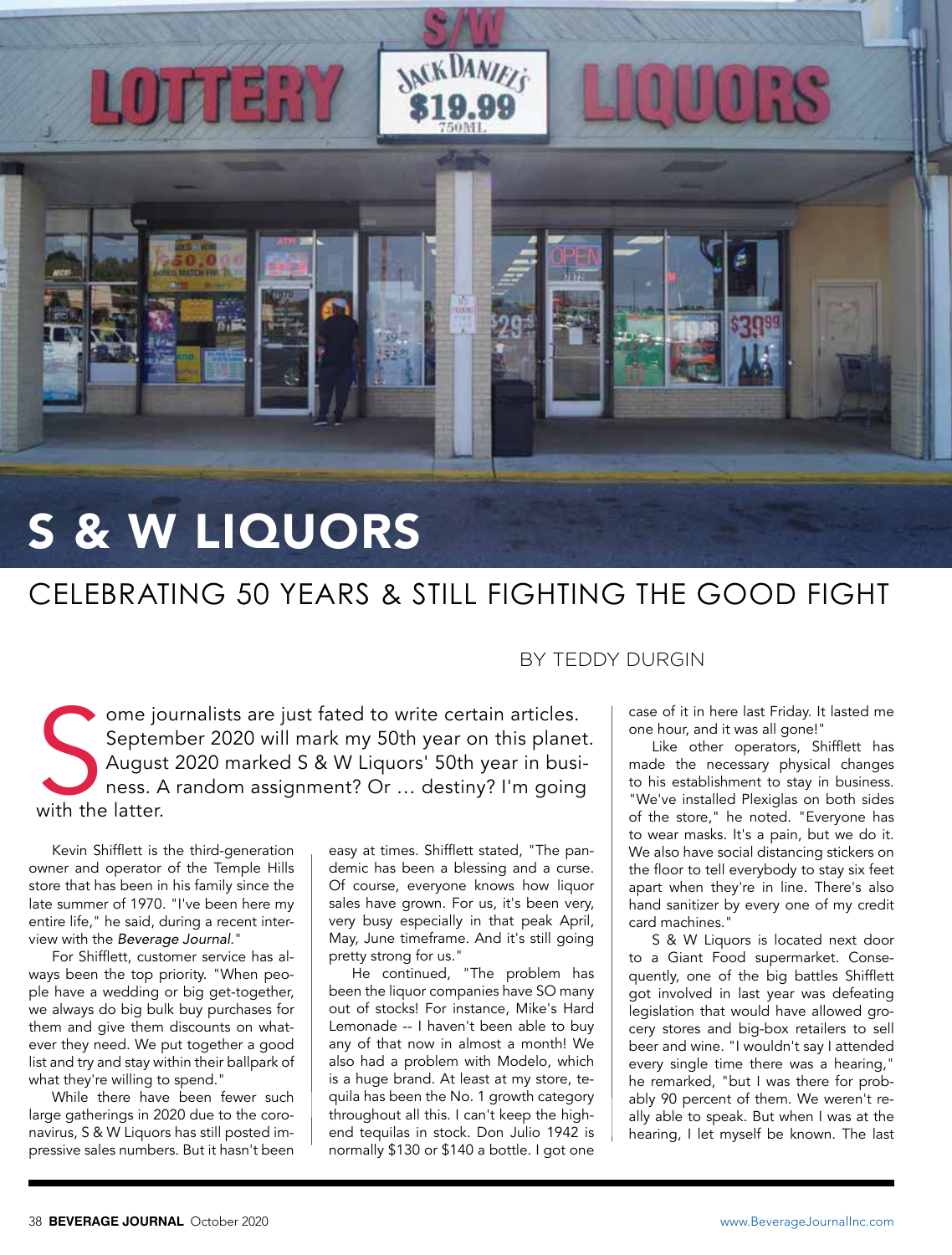

LOTTERY

## CELEBRATING 50 YEARS & STILL FIGHTING THE GOOD FIGHT

**MCKDANIELS** 

Septer<br>
Septer<br>
Augus<br>
ness. A<br>
with the latter. ome journalists are just fated to write certain articles. September 2020 will mark my 50th year on this planet. August 2020 marked S & W Liquors' 50th year in business. A random assignment? Or … destiny? I'm going

Kevin Shifflett is the third-generation owner and operator of the Temple Hills store that has been in his family since the late summer of 1970. "I've been here my entire life," he said, during a recent interview with the *Beverage Journal*."

For Shifflett, customer service has always been the top priority. "When people have a wedding or big get-together, we always do big bulk buy purchases for them and give them discounts on whatever they need. We put together a good list and try and stay within their ballpark of what they're willing to spend."

While there have been fewer such large gatherings in 2020 due to the coronavirus, S & W Liquors has still posted impressive sales numbers. But it hasn't been

easy at times. Shifflett stated, "The pandemic has been a blessing and a curse. Of course, everyone knows how liquor sales have grown. For us, it's been very, very busy especially in that peak April, May, June timeframe. And it's still going pretty strong for us."

He continued, "The problem has been the liquor companies have SO many out of stocks! For instance, Mike's Hard Lemonade -- I haven't been able to buy any of that now in almost a month! We also had a problem with Modelo, which is a huge brand. At least at my store, tequila has been the No. 1 growth category throughout all this. I can't keep the highend tequilas in stock. Don Julio 1942 is normally \$130 or \$140 a bottle. I got one

## BY TEDDY DURGIN

case of it in here last Friday. It lasted me one hour, and it was all gone!"

Like other operators, Shifflett has made the necessary physical changes to his establishment to stay in business. "We've installed Plexiglas on both sides of the store," he noted. "Everyone has to wear masks. It's a pain, but we do it. We also have social distancing stickers on the floor to tell everybody to stay six feet apart when they're in line. There's also hand sanitizer by every one of my credit card machines."

S & W Liquors is located next door to a Giant Food supermarket. Consequently, one of the big battles Shifflett got involved in last year was defeating legislation that would have allowed grocery stores and big-box retailers to sell beer and wine. "I wouldn't say I attended every single time there was a hearing," he remarked, "but I was there for probably 90 percent of them. We weren't really able to speak. But when I was at the hearing, I let myself be known. The last